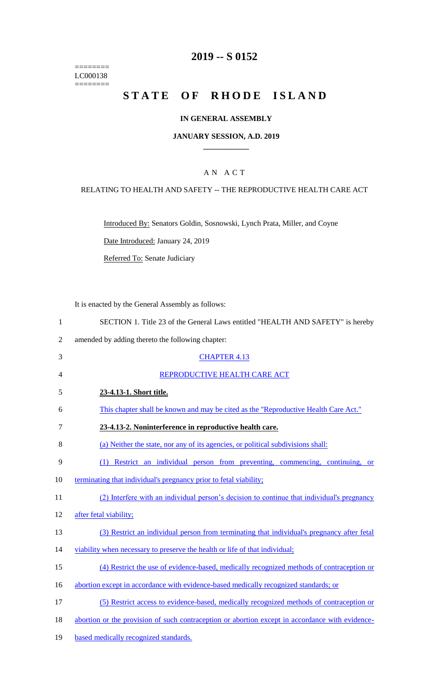======== LC000138  $=$ 

# **2019 -- S 0152**

# STATE OF RHODE ISLAND

### **IN GENERAL ASSEMBLY**

#### **JANUARY SESSION, A.D. 2019 \_\_\_\_\_\_\_\_\_\_\_\_**

## A N A C T

### RELATING TO HEALTH AND SAFETY -- THE REPRODUCTIVE HEALTH CARE ACT

Introduced By: Senators Goldin, Sosnowski, Lynch Prata, Miller, and Coyne

Date Introduced: January 24, 2019

Referred To: Senate Judiciary

It is enacted by the General Assembly as follows:

| SECTION 1. Title 23 of the General Laws entitled "HEALTH AND SAFETY" is hereby |
|--------------------------------------------------------------------------------|
|--------------------------------------------------------------------------------|

2 amended by adding thereto the following chapter:

|    | amended by adding thereto the ronowing enapter.                                                 |
|----|-------------------------------------------------------------------------------------------------|
| 3  | <b>CHAPTER 4.13</b>                                                                             |
| 4  | REPRODUCTIVE HEALTH CARE ACT                                                                    |
| 5  | 23-4.13-1. Short title.                                                                         |
| 6  | This chapter shall be known and may be cited as the "Reproductive Health Care Act."             |
| 7  | 23-4.13-2. Noninterference in reproductive health care.                                         |
| 8  | (a) Neither the state, nor any of its agencies, or political subdivisions shall:                |
| 9  | (1) Restrict an individual person from preventing, commencing, continuing, or                   |
| 10 | terminating that individual's pregnancy prior to fetal viability;                               |
| 11 | (2) Interfere with an individual person's decision to continue that individual's pregnancy      |
| 12 | after fetal viability;                                                                          |
| 13 | (3) Restrict an individual person from terminating that individual's pregnancy after fetal      |
| 14 | viability when necessary to preserve the health or life of that individual;                     |
| 15 | (4) Restrict the use of evidence-based, medically recognized methods of contraception or        |
| 16 | abortion except in accordance with evidence-based medically recognized standards; or            |
| 17 | (5) Restrict access to evidence-based, medically recognized methods of contraception or         |
| 18 | abortion or the provision of such contraception or abortion except in accordance with evidence- |
| 19 | based medically recognized standards.                                                           |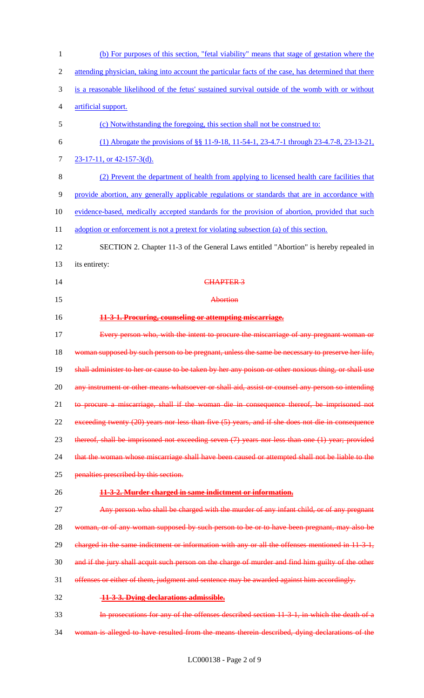| $\mathbf{1}$   | (b) For purposes of this section, "fetal viability" means that stage of gestation where the          |
|----------------|------------------------------------------------------------------------------------------------------|
| $\overline{2}$ | attending physician, taking into account the particular facts of the case, has determined that there |
| 3              | is a reasonable likelihood of the fetus' sustained survival outside of the womb with or without      |
| 4              | artificial support.                                                                                  |
| 5              | (c) Notwithstanding the foregoing, this section shall not be construed to:                           |
| 6              | (1) Abrogate the provisions of §§ 11-9-18, 11-54-1, 23-4.7-1 through 23-4.7-8, 23-13-21,             |
| 7              | $23-17-11$ , or 42-157-3(d).                                                                         |
| 8              | (2) Prevent the department of health from applying to licensed health care facilities that           |
| 9              | provide abortion, any generally applicable regulations or standards that are in accordance with      |
| 10             | evidence-based, medically accepted standards for the provision of abortion, provided that such       |
| 11             | adoption or enforcement is not a pretext for violating subsection (a) of this section.               |
| 12             | SECTION 2. Chapter 11-3 of the General Laws entitled "Abortion" is hereby repealed in                |
| 13             | its entirety:                                                                                        |
| 14             | <b>CHAPTER 3</b>                                                                                     |
| 15             | Abortion                                                                                             |
| 16             | 11-3-1. Procuring, counseling or attempting miscarriage.                                             |
| 17             | Every person who, with the intent to procure the miscarriage of any pregnant woman or                |
|                |                                                                                                      |
| 18             | woman supposed by such person to be pregnant, unless the same be necessary to preserve her life,     |
| 19             | shall administer to her or cause to be taken by her any poison or other noxious thing, or shall use  |
| 20             | any instrument or other means whatsoever or shall aid, assist or counsel any person so intending     |
| 21             | to procure a miscarriage, shall if the woman die in consequence thereof, be imprisoned not           |
| 22             | exceeding twenty (20) years nor less than five (5) years, and if she does not die in consequence     |
| 23             | thereof, shall be imprisoned not exceeding seven (7) years nor less than one (1) year; provided      |
| 24             | that the woman whose miscarriage shall have been caused or attempted shall not be liable to the      |
| 25             | penalties prescribed by this section.                                                                |
| 26             | 11-3-2. Murder charged in same indictment or information.                                            |
| 27             | Any person who shall be charged with the murder of any infant child, or of any pregnant              |
| 28             | woman, or of any woman supposed by such person to be or to have been pregnant, may also be           |
| 29             | eharged in the same indictment or information with any or all the offenses mentioned in 11 3 1,      |
| 30             | and if the jury shall acquit such person on the charge of murder and find him guilty of the other    |
| 31             | offenses or either of them, judgment and sentence may be awarded against him accordingly.            |
| 32             | 11-3-3. Dying declarations admissible.                                                               |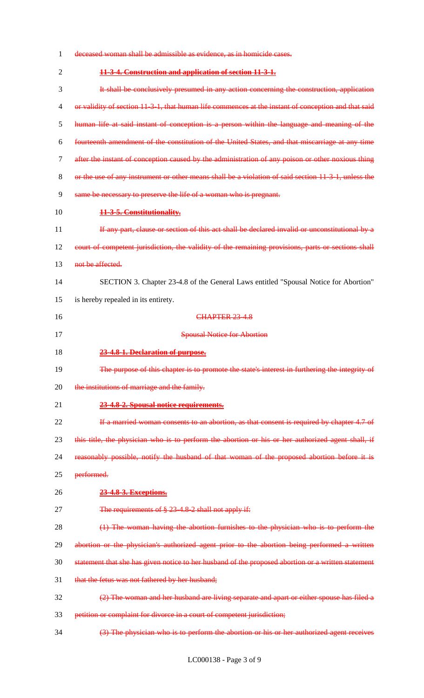- deceased woman shall be admissible as evidence, as in homicide cases. **11-3-4. Construction and application of section 11-3-1.** It shall be conclusively presumed in any action concerning the construction, application 4 or validity of section 11-3-1, that human life commences at the instant of conception and that said human life at said instant of conception is a person within the language and meaning of the fourteenth amendment of the constitution of the United States, and that miscarriage at any time after the instant of conception caused by the administration of any poison or other noxious thing or the use of any instrument or other means shall be a violation of said section 11-3-1, unless the same be necessary to preserve the life of a woman who is pregnant. **11-3-5. Constitutionality.** 11 If any part, clause or section of this act shall be declared invalid or unconstitutional by a 12 court of competent jurisdiction, the validity of the remaining provisions, parts or sections shall 13 not be affected. SECTION 3. Chapter 23-4.8 of the General Laws entitled "Spousal Notice for Abortion" is hereby repealed in its entirety. 16 CHAPTER 23 4.8 Spousal Notice for Abortion **23-4.8-1. Declaration of purpose.** The purpose of this chapter is to promote the state's interest in furthering the integrity of 20 the institutions of marriage and the family. **23-4.8-2. Spousal notice requirements.** 22 If a married woman consents to an abortion, as that consent is required by chapter 4.7 of 23 this title, the physician who is to perform the abortion or his or her authorized agent shall, if reasonably possible, notify the husband of that woman of the proposed abortion before it is 25 performed. **23-4.8-3. Exceptions.** 27 The requirements of  $\frac{8}{3}$  23 4.8-2 shall not apply if: (1) The woman having the abortion furnishes to the physician who is to perform the 29 abortion or the physician's authorized agent prior to the abortion being performed a written statement that she has given notice to her husband of the proposed abortion or a written statement 31 that the fetus was not fathered by her husband; (2) The woman and her husband are living separate and apart or either spouse has filed a petition or complaint for divorce in a court of competent jurisdiction;
- (3) The physician who is to perform the abortion or his or her authorized agent receives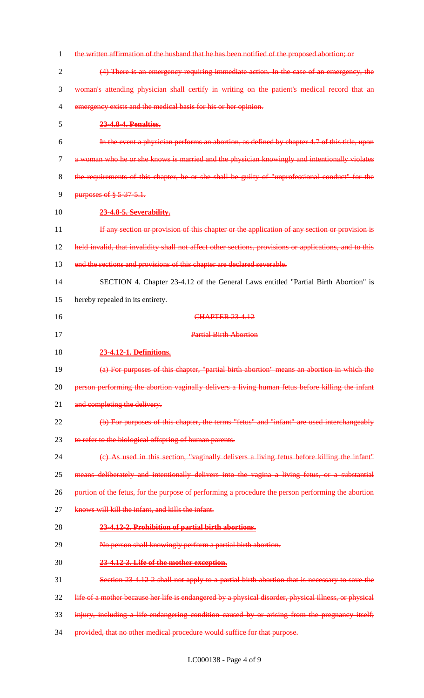| $\mathbf{1}$   | the written affirmation of the husband that he has been notified of the proposed abortion; or          |
|----------------|--------------------------------------------------------------------------------------------------------|
| $\mathbf{2}$   | (4) There is an emergency requiring immediate action. In the case of an emergency, the                 |
| 3              | woman's attending physician shall certify in writing on the patient's medical record that an           |
| $\overline{4}$ | emergency exists and the medical basis for his or her opinion.                                         |
| 5              | 23-4.8-4. Penalties.                                                                                   |
| 6              | In the event a physician performs an abortion, as defined by chapter 4.7 of this title, upon           |
| $\tau$         | a woman who he or she knows is married and the physician knowingly and intentionally violates          |
| 8              | the requirements of this chapter, he or she shall be guilty of "unprofessional conduct" for the        |
| 9              | purposes of § 5-37-5.1.                                                                                |
| 10             | 23-4.8-5. Severability.                                                                                |
| 11             | If any section or provision of this chapter or the application of any section or provision is          |
| 12             | held invalid, that invalidity shall not affect other sections, provisions or applications, and to this |
| 13             | end the sections and provisions of this chapter are declared severable.                                |
| 14             | SECTION 4. Chapter 23-4.12 of the General Laws entitled "Partial Birth Abortion" is                    |
| 15             | hereby repealed in its entirety.                                                                       |
| 16             | <b>CHAPTER 23 4.12</b>                                                                                 |
| 17             | <b>Partial Birth Abortion</b>                                                                          |
| 18             | 23-4.12-1. Definitions.                                                                                |
| 19             | (a) For purposes of this chapter, "partial birth abortion" means an abortion in which the              |
| 20             | person performing the abortion vaginally delivers a living human fetus before killing the infant       |
| 21             | and completing the delivery.                                                                           |
| 22             | (b) For purposes of this chapter, the terms "fetus" and "infant" are used interchangeably              |
| 23             | to refer to the biological offspring of human parents.                                                 |
| 24             | (e) As used in this section, "vaginally delivers a living fetus before killing the infant"             |
| 25             | means deliberately and intentionally delivers into the vagina a living fetus, or a substantial         |
| 26             | portion of the fetus, for the purpose of performing a procedure the person performing the abortion     |
| 27             | knows will kill the infant, and kills the infant.                                                      |
| 28             | 23-4.12-2. Prohibition of partial birth abortions.                                                     |
| 29             | No person shall knowingly perform a partial birth abortion.                                            |
| 30             | 23-4.12-3. Life of the mother exception.                                                               |
| 31             | Section 23 4.12 2 shall not apply to a partial birth abortion that is necessary to save the            |
| 32             | life of a mother because her life is endangered by a physical disorder, physical illness, or physical  |
| 33             | injury, including a life-endangering condition caused by or arising from the pregnancy itself;         |
| 34             | provided, that no other medical procedure would suffice for that purpose.                              |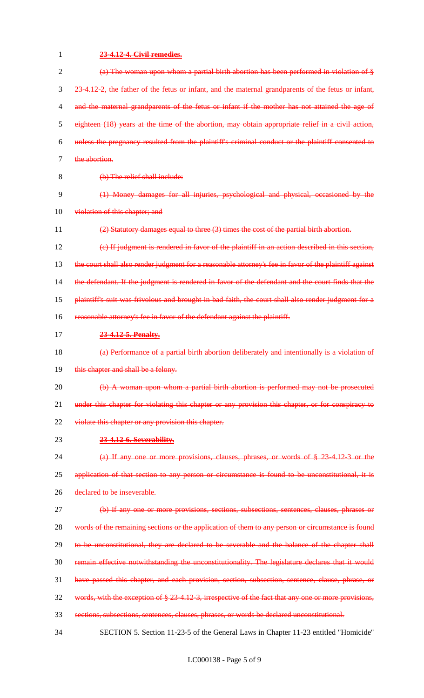| 1  | 23-4.12-4. Civil remedies.                                                                              |
|----|---------------------------------------------------------------------------------------------------------|
| 2  | (a) The woman upon whom a partial birth abortion has been performed in violation of §                   |
| 3  | 23-4.12-2, the father of the fetus or infant, and the maternal grandparents of the fetus or infant,     |
| 4  | and the maternal grandparents of the fetus or infant if the mother has not attained the age of          |
| 5  | eighteen (18) years at the time of the abortion, may obtain appropriate relief in a civil action,       |
| 6  | unless the pregnancy resulted from the plaintiff's criminal conduct or the plaintiff consented to       |
| 7  | the abortion.                                                                                           |
| 8  | (b) The relief shall include:                                                                           |
| 9  | (1) Money damages for all injuries, psychological and physical, occasioned by the                       |
| 10 | violation of this chapter; and                                                                          |
| 11 | (2) Statutory damages equal to three (3) times the cost of the partial birth abortion.                  |
| 12 | $(e)$ If judgment is rendered in favor of the plaintiff in an action described in this section,         |
| 13 | the court shall also render judgment for a reasonable attorney's fee in favor of the plaintiff against  |
| 14 | the defendant. If the judgment is rendered in favor of the defendant and the court finds that the       |
| 15 | plaintiff's suit was frivolous and brought in bad faith, the court shall also render judgment for a     |
| 16 | reasonable attorney's fee in favor of the defendant against the plaintiff.                              |
| 17 | 23-4.12-5. Penalty.                                                                                     |
| 18 | (a) Performance of a partial birth abortion deliberately and intentionally is a violation of            |
| 19 | this chapter and shall be a felony.                                                                     |
| 20 | (b) A woman upon whom a partial birth abortion is performed may not be prosecuted                       |
| 21 | under this chapter for violating this chapter or any provision this chapter, or for conspiracy to       |
| 22 | violate this chapter or any provision this chapter.                                                     |
| 23 | 23-4.12-6. Severability.                                                                                |
| 24 | (a) If any one or more provisions, clauses, phrases, or words of $\S$ 23-4.12-3 or the                  |
| 25 | application of that section to any person or circumstance is found to be unconstitutional, it is        |
| 26 | declared to be inseverable.                                                                             |
| 27 | (b) If any one or more provisions, sections, subsections, sentences, clauses, phrases or                |
| 28 | words of the remaining sections or the application of them to any person or circumstance is found       |
| 29 | to be unconstitutional, they are declared to be severable and the balance of the chapter shall          |
| 30 | remain effective notwithstanding the unconstitutionality. The legislature declares that it would        |
| 31 | have passed this chapter, and each provision, section, subsection, sentence, clause, phrase, or         |
| 32 | words, with the exception of $\S 23 4.12 3$ , irrespective of the fact that any one or more provisions, |
| 33 | sections, subsections, sentences, clauses, phrases, or words be declared unconstitutional.              |
| 34 | SECTION 5. Section 11-23-5 of the General Laws in Chapter 11-23 entitled "Homicide"                     |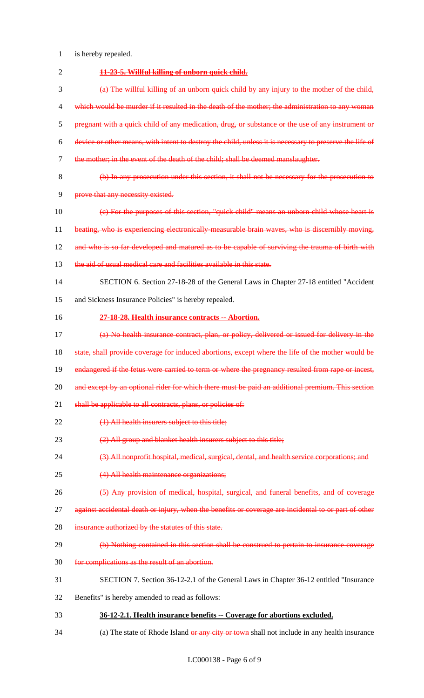- 1 is hereby repealed.
- 2 **11-23-5. Willful killing of unborn quick child.** 3 (a) The willful killing of an unborn quick child by any injury to the mother of the child, 4 which would be murder if it resulted in the death of the mother; the administration to any woman 5 pregnant with a quick child of any medication, drug, or substance or the use of any instrument or 6 device or other means, with intent to destroy the child, unless it is necessary to preserve the life of 7 the mother; in the event of the death of the child; shall be deemed manslaughter. 8 (b) In any prosecution under this section, it shall not be necessary for the prosecution to 9 prove that any necessity existed. 10 (c) For the purposes of this section, "quick child" means an unborn child whose heart is 11 beating, who is experiencing electronically-measurable brain waves, who is discernibly moving, 12 and who is so far developed and matured as to be capable of surviving the trauma of birth with 13 the aid of usual medical care and facilities available in this state. 14 SECTION 6. Section 27-18-28 of the General Laws in Chapter 27-18 entitled "Accident 15 and Sickness Insurance Policies" is hereby repealed. 16 **27-18-28. Health insurance contracts -- Abortion.** 17 (a) No health insurance contract, plan, or policy, delivered or issued for delivery in the 18 state, shall provide coverage for induced abortions, except where the life of the mother would be 19 endangered if the fetus were carried to term or where the pregnancy resulted from rape or incest, 20 and except by an optional rider for which there must be paid an additional premium. This section 21 shall be applicable to all contracts, plans, or policies of: 22 (1) All health insurers subject to this title; 23 (2) All group and blanket health insurers subject to this title; 24 (3) All nonprofit hospital, medical, surgical, dental, and health service corporations; and 25 (4) All health maintenance organizations; 26 (5) Any provision of medical, hospital, surgical, and funeral benefits, and of coverage 27 against accidental death or injury, when the benefits or coverage are incidental to or part of other 28 insurance authorized by the statutes of this state. 29 (b) Nothing contained in this section shall be construed to pertain to insurance coverage 30 for complications as the result of an abortion. 31 SECTION 7. Section 36-12-2.1 of the General Laws in Chapter 36-12 entitled "Insurance 32 Benefits" is hereby amended to read as follows: 33 **36-12-2.1. Health insurance benefits -- Coverage for abortions excluded.** 34 (a) The state of Rhode Island or any city or town shall not include in any health insurance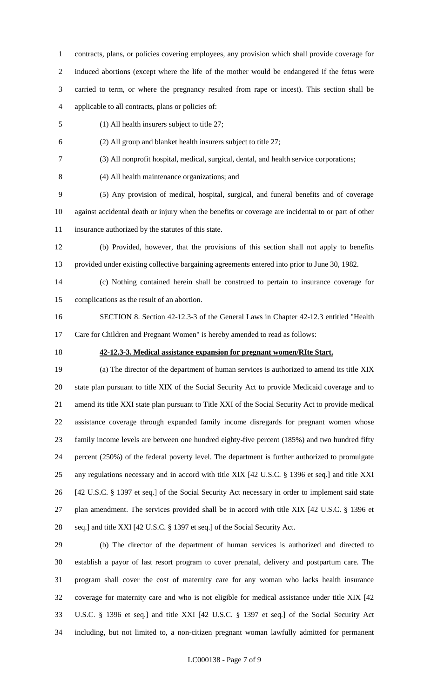contracts, plans, or policies covering employees, any provision which shall provide coverage for induced abortions (except where the life of the mother would be endangered if the fetus were carried to term, or where the pregnancy resulted from rape or incest). This section shall be applicable to all contracts, plans or policies of:

- (1) All health insurers subject to title 27;
- (2) All group and blanket health insurers subject to title 27;
- (3) All nonprofit hospital, medical, surgical, dental, and health service corporations;
- (4) All health maintenance organizations; and

 (5) Any provision of medical, hospital, surgical, and funeral benefits and of coverage against accidental death or injury when the benefits or coverage are incidental to or part of other insurance authorized by the statutes of this state.

 (b) Provided, however, that the provisions of this section shall not apply to benefits provided under existing collective bargaining agreements entered into prior to June 30, 1982.

- (c) Nothing contained herein shall be construed to pertain to insurance coverage for complications as the result of an abortion.
- SECTION 8. Section 42-12.3-3 of the General Laws in Chapter 42-12.3 entitled "Health Care for Children and Pregnant Women" is hereby amended to read as follows:
- 

### **42-12.3-3. Medical assistance expansion for pregnant women/RIte Start.**

 (a) The director of the department of human services is authorized to amend its title XIX state plan pursuant to title XIX of the Social Security Act to provide Medicaid coverage and to amend its title XXI state plan pursuant to Title XXI of the Social Security Act to provide medical assistance coverage through expanded family income disregards for pregnant women whose family income levels are between one hundred eighty-five percent (185%) and two hundred fifty percent (250%) of the federal poverty level. The department is further authorized to promulgate any regulations necessary and in accord with title XIX [42 U.S.C. § 1396 et seq.] and title XXI [42 U.S.C. § 1397 et seq.] of the Social Security Act necessary in order to implement said state plan amendment. The services provided shall be in accord with title XIX [42 U.S.C. § 1396 et seq.] and title XXI [42 U.S.C. § 1397 et seq.] of the Social Security Act.

 (b) The director of the department of human services is authorized and directed to establish a payor of last resort program to cover prenatal, delivery and postpartum care. The program shall cover the cost of maternity care for any woman who lacks health insurance coverage for maternity care and who is not eligible for medical assistance under title XIX [42 U.S.C. § 1396 et seq.] and title XXI [42 U.S.C. § 1397 et seq.] of the Social Security Act including, but not limited to, a non-citizen pregnant woman lawfully admitted for permanent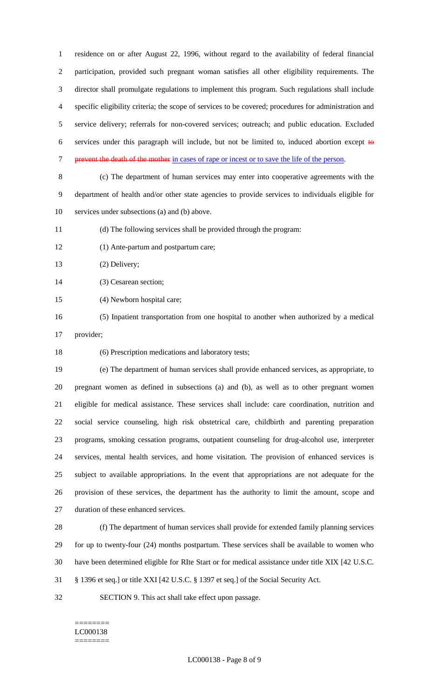residence on or after August 22, 1996, without regard to the availability of federal financial participation, provided such pregnant woman satisfies all other eligibility requirements. The director shall promulgate regulations to implement this program. Such regulations shall include specific eligibility criteria; the scope of services to be covered; procedures for administration and service delivery; referrals for non-covered services; outreach; and public education. Excluded 6 services under this paragraph will include, but not be limited to, induced abortion except  $\theta$ prevent the death of the mother in cases of rape or incest or to save the life of the person.

 (c) The department of human services may enter into cooperative agreements with the department of health and/or other state agencies to provide services to individuals eligible for services under subsections (a) and (b) above.

(d) The following services shall be provided through the program:

- (1) Ante-partum and postpartum care;
- (2) Delivery;

(3) Cesarean section;

- (4) Newborn hospital care;
- (5) Inpatient transportation from one hospital to another when authorized by a medical
- provider;

(6) Prescription medications and laboratory tests;

 (e) The department of human services shall provide enhanced services, as appropriate, to pregnant women as defined in subsections (a) and (b), as well as to other pregnant women eligible for medical assistance. These services shall include: care coordination, nutrition and social service counseling, high risk obstetrical care, childbirth and parenting preparation programs, smoking cessation programs, outpatient counseling for drug-alcohol use, interpreter services, mental health services, and home visitation. The provision of enhanced services is subject to available appropriations. In the event that appropriations are not adequate for the provision of these services, the department has the authority to limit the amount, scope and duration of these enhanced services.

 (f) The department of human services shall provide for extended family planning services for up to twenty-four (24) months postpartum. These services shall be available to women who have been determined eligible for RIte Start or for medical assistance under title XIX [42 U.S.C. § 1396 et seq.] or title XXI [42 U.S.C. § 1397 et seq.] of the Social Security Act.

SECTION 9. This act shall take effect upon passage.

#### ======== LC000138